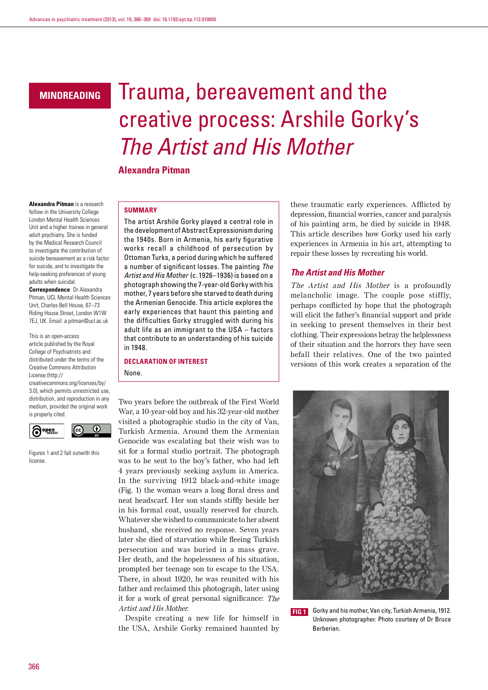## **mindreading**

# Trauma, bereavement and the creative process: Arshile Gorky's *The Artist and His Mother*

**Alexandra Pitman**

**Alexandra Pitman** is a research fellow in the University College London Mental Health Sciences Unit and a higher trainee in general adult psychiatry. She is funded by the Medical Research Council to investigate the contribution of suicide bereavement as a risk factor for suicide, and to investigate the help-seeking preferences of young adults when suicidal.

**Correspondence** Dr Alexandra Pitman, UCL Mental Health Sciences Unit, Charles Bell House, 67–73 Riding House Street, London W1W 7EJ, UK. Email: a.pitman@ucl.ac.uk

This is an open-access article published by the Royal College of Psychiatrists and distributed under the terms of the Creative Commons Attribution License (http://

creativecommons.org/licenses/by/ 3.0), which permits unrestricted use, distribution, and reproduction in any medium, provided the original work is properly cited.



Figures 1 and 2 fall outwith this license.

#### **Summary**

The artist Arshile Gorky played a central role in the development of Abstract Expressionism during the 1940s. Born in Armenia, his early figurative works recall a childhood of persecution by Ottoman Turks, a period during which he suffered a number of significant losses. The painting *The Artist and His Mother* (c. 1926–1936) is based on a photograph showing the 7-year-old Gorky with his mother, 7 years before she starved to death during the Armenian Genocide. This article explores the early experiences that haunt this painting and the difficulties Gorky struggled with during his adult life as an immigrant to the USA – factors that contribute to an understanding of his suicide in 1948.

## **Declaration of interest** None.

Two years before the outbreak of the First World War, a 10-year-old boy and his 32-year-old mother visited a photographic studio in the city of Van, Turkish Armenia. Around them the Armenian Genocide was escalating but their wish was to sit for a formal studio portrait. The photograph was to be sent to the boy's father, who had left 4 years previously seeking asylum in America. In the surviving 1912 black-and-white image (Fig. 1) the woman wears a long floral dress and neat headscarf. Her son stands stiffly beside her in his formal coat, usually reserved for church. Whatever she wished to communicate to her absent husband, she received no response. Seven years later she died of starvation while fleeing Turkish persecution and was buried in a mass grave. Her death, and the hopelessness of his situation, prompted her teenage son to escape to the USA. There, in about 1920, he was reunited with his father and reclaimed this photograph, later using it for a work of great personal significance: The Artist and His Mother.

Despite creating a new life for himself in the USA, Arshile Gorky remained haunted by these traumatic early experiences. Afflicted by depression, financial worries, cancer and paralysis of his painting arm, he died by suicide in 1948. This article describes how Gorky used his early experiences in Armenia in his art, attempting to repair these losses by recreating his world.

## *The Artist and His Mother*

The Artist and His Mother is a profoundly melancholic image. The couple pose stiffly, perhaps conflicted by hope that the photograph will elicit the father's financial support and pride in seeking to present themselves in their best clothing. Their expressions betray the helplessness of their situation and the horrors they have seen befall their relatives. One of the two painted versions of this work creates a separation of the



**FIG 1** Gorky and his mother, Van city, Turkish Armenia, 1912. Unknown photographer. Photo courtesy of Dr Bruce Berberian.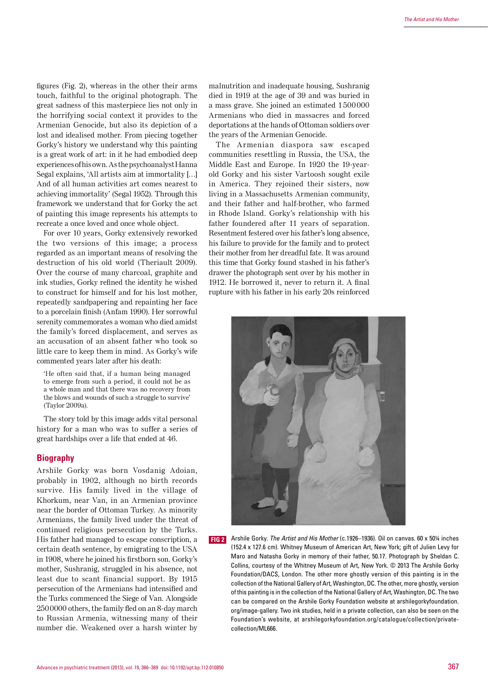figures (Fig. 2), whereas in the other their arms touch, faithful to the original photograph. The great sadness of this masterpiece lies not only in the horrifying social context it provides to the Armenian Genocide, but also its depiction of a lost and idealised mother. From piecing together Gorky's history we understand why this painting is a great work of art: in it he had embodied deep experiences of his own. As the psychoanalyst Hanna Segal explains, 'All artists aim at immortality […] And of all human activities art comes nearest to achieving immortality' (Segal 1952). Through this framework we understand that for Gorky the act of painting this image represents his attempts to recreate a once loved and once whole object.

For over 10 years, Gorky extensively reworked the two versions of this image; a process regarded as an important means of resolving the destruction of his old world (Theriault 2009). Over the course of many charcoal, graphite and ink studies, Gorky refined the identity he wished to construct for himself and for his lost mother, repeatedly sandpapering and repainting her face to a porcelain finish (Anfam 1990). Her sorrowful serenity commemorates a woman who died amidst the family's forced displacement, and serves as an accusation of an absent father who took so little care to keep them in mind. As Gorky's wife commented years later after his death:

'He often said that, if a human being managed to emerge from such a period, it could not be as a whole man and that there was no recovery from the blows and wounds of such a struggle to survive' (Taylor 2009a).

The story told by this image adds vital personal history for a man who was to suffer a series of great hardships over a life that ended at 46.

## **Biography**

Arshile Gorky was born Vosdanig Adoian, probably in 1902, although no birth records survive. His family lived in the village of Khorkum, near Van, in an Armenian province near the border of Ottoman Turkey. As minority Armenians, the family lived under the threat of continued religious persecution by the Turks. His father had managed to escape conscription, a certain death sentence, by emigrating to the USA in 1908, where he joined his firstborn son. Gorky's mother, Sushranig, struggled in his absence, not least due to scant financial support. By 1915 persecution of the Armenians had intensified and the Turks commenced the Siege of Van. Alongside 2500000 others, the family fled on an 8-day march to Russian Armenia, witnessing many of their number die. Weakened over a harsh winter by

malnutrition and inadequate housing, Sushranig died in 1919 at the age of 39 and was buried in a mass grave. She joined an estimated 1500000 Armenians who died in massacres and forced deportations at the hands of Ottoman soldiers over the years of the Armenian Genocide.

The Armenian diaspora saw escaped communities resettling in Russia, the USA, the Middle East and Europe. In 1920 the 19-yearold Gorky and his sister Vartoosh sought exile in America. They rejoined their sisters, now living in a Massachusetts Armenian community, and their father and half-brother, who farmed in Rhode Island. Gorky's relationship with his father foundered after 11 years of separation. Resentment festered over his father's long absence, his failure to provide for the family and to protect their mother from her dreadful fate. It was around this time that Gorky found stashed in his father's drawer the photograph sent over by his mother in 1912. He borrowed it, never to return it. A final rupture with his father in his early 20s reinforced



**fig 2** Arshile Gorky. *The Artist and His Mother* (c.1926–1936). Oil on canvas. 60 x 50¼ inches (152.4 x 127.6 cm). Whitney Museum of American Art, New York; gift of Julien Levy for Maro and Natasha Gorky in memory of their father, 50.17. Photograph by Sheldan C. Collins, courtesy of the Whitney Museum of Art, New York. © 2013 The Arshile Gorky Foundation/DACS, London. The other more ghostly version of this painting is in the collection of the National Gallery of Art, Washington, DC. The other, more ghostly, version of this painting is in the collection of the National Gallery of Art, Washington, DC. The two can be compared on the Arshile Gorky Foundation website at arshilegorkyfoundation. org/image-gallery. Two ink studies, held in a private collection, can also be seen on the Foundation's website, at arshilegorkyfoundation.org/catalogue/collection/privatecollection/ML666.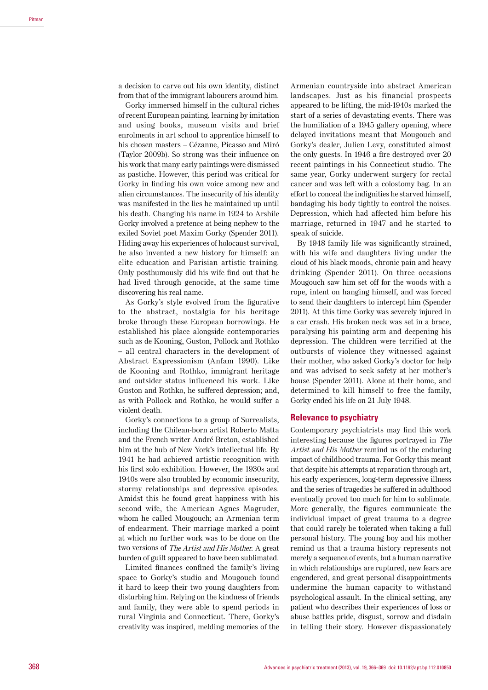a decision to carve out his own identity, distinct from that of the immigrant labourers around him.

Gorky immersed himself in the cultural riches of recent European painting, learning by imitation and using books, museum visits and brief enrolments in art school to apprentice himself to his chosen masters – Cézanne, Picasso and Miró (Taylor 2009b). So strong was their influence on his work that many early paintings were dismissed as pastiche. However, this period was critical for Gorky in finding his own voice among new and alien circumstances. The insecurity of his identity was manifested in the lies he maintained up until his death. Changing his name in 1924 to Arshile Gorky involved a pretence at being nephew to the exiled Soviet poet Maxim Gorky (Spender 2011). Hiding away his experiences of holocaust survival, he also invented a new history for himself: an elite education and Parisian artistic training. Only posthumously did his wife find out that he had lived through genocide, at the same time discovering his real name.

As Gorky's style evolved from the figurative to the abstract, nostalgia for his heritage broke through these European borrowings. He established his place alongside contemporaries such as de Kooning, Guston, Pollock and Rothko – all central characters in the development of Abstract Expressionism (Anfam 1990). Like de Kooning and Rothko, immigrant heritage and outsider status influenced his work. Like Guston and Rothko, he suffered depression; and, as with Pollock and Rothko, he would suffer a violent death.

Gorky's connections to a group of Surrealists, including the Chilean-born artist Roberto Matta and the French writer André Breton, established him at the hub of New York's intellectual life. By 1941 he had achieved artistic recognition with his first solo exhibition. However, the 1930s and 1940s were also troubled by economic insecurity, stormy relationships and depressive episodes. Amidst this he found great happiness with his second wife, the American Agnes Magruder, whom he called Mougouch; an Armenian term of endearment. Their marriage marked a point at which no further work was to be done on the two versions of The Artist and His Mother. A great burden of guilt appeared to have been sublimated.

Limited finances confined the family's living space to Gorky's studio and Mougouch found it hard to keep their two young daughters from disturbing him. Relying on the kindness of friends and family, they were able to spend periods in rural Virginia and Connecticut. There, Gorky's creativity was inspired, melding memories of the Armenian countryside into abstract American landscapes. Just as his financial prospects appeared to be lifting, the mid-1940s marked the start of a series of devastating events. There was the humiliation of a 1945 gallery opening, where delayed invitations meant that Mougouch and Gorky's dealer, Julien Levy, constituted almost the only guests. In 1946 a fire destroyed over 20 recent paintings in his Connecticut studio. The same year, Gorky underwent surgery for rectal cancer and was left with a colostomy bag. In an effort to conceal the indignities he starved himself, bandaging his body tightly to control the noises. Depression, which had affected him before his marriage, returned in 1947 and he started to speak of suicide.

By 1948 family life was significantly strained, with his wife and daughters living under the cloud of his black moods, chronic pain and heavy drinking (Spender 2011). On three occasions Mougouch saw him set off for the woods with a rope, intent on hanging himself, and was forced to send their daughters to intercept him (Spender 2011). At this time Gorky was severely injured in a car crash. His broken neck was set in a brace, paralysing his painting arm and deepening his depression. The children were terrified at the outbursts of violence they witnessed against their mother, who asked Gorky's doctor for help and was advised to seek safety at her mother's house (Spender 2011). Alone at their home, and determined to kill himself to free the family, Gorky ended his life on 21 July 1948.

## **Relevance to psychiatry**

Contemporary psychiatrists may find this work interesting because the figures portrayed in The Artist and His Mother remind us of the enduring impact of childhood trauma. For Gorky this meant that despite his attempts at reparation through art, his early experiences, long-term depressive illness and the series of tragedies he suffered in adulthood eventually proved too much for him to sublimate. More generally, the figures communicate the individual impact of great trauma to a degree that could rarely be tolerated when taking a full personal history. The young boy and his mother remind us that a trauma history represents not merely a sequence of events, but a human narrative in which relationships are ruptured, new fears are engendered, and great personal disappointments undermine the human capacity to withstand psychological assault. In the clinical setting, any patient who describes their experiences of loss or abuse battles pride, disgust, sorrow and disdain in telling their story. However dispassionately